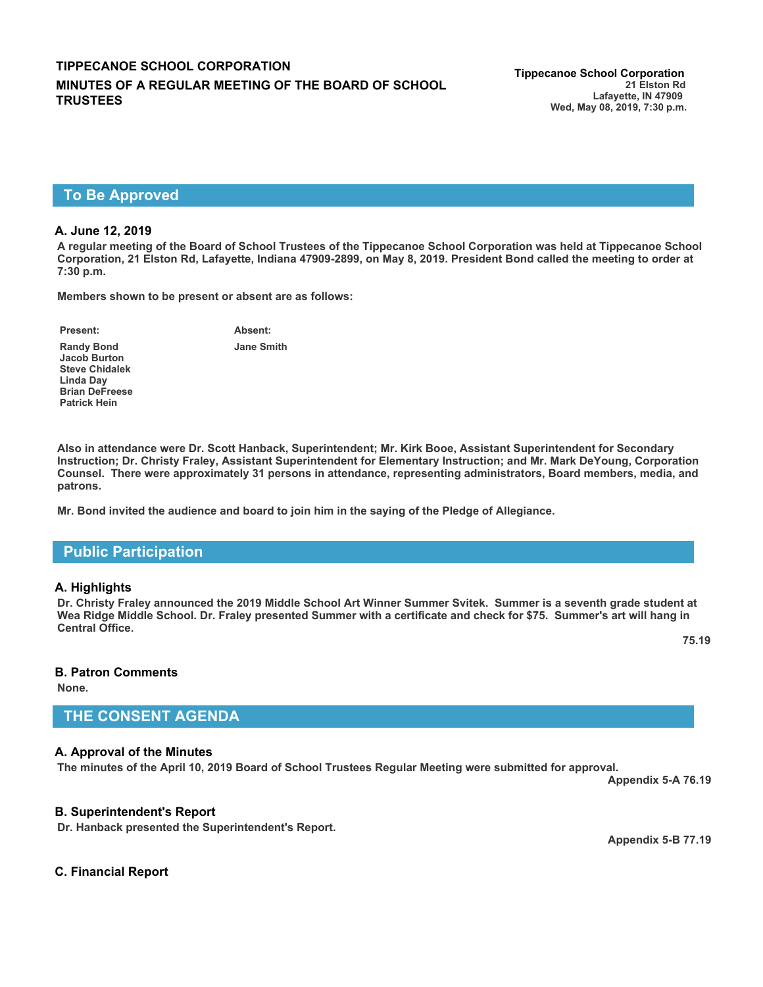# **To Be Approved**

#### **A. June 12, 2019**

**A regular meeting of the Board of School Trustees of the Tippecanoe School Corporation was held at Tippecanoe School Corporation, 21 Elston Rd, Lafayette, Indiana 47909-2899, on May 8, 2019. President Bond called the meeting to order at 7:30 p.m.**

**Members shown to be present or absent are as follows:**

**Present: Absent:**

**Jane Smith**

**Randy Bond Jacob Burton Steve Chidalek Linda Day Brian DeFreese Patrick Hein**

**Also in attendance were Dr. Scott Hanback, Superintendent; Mr. Kirk Booe, Assistant Superintendent for Secondary Instruction; Dr. Christy Fraley, Assistant Superintendent for Elementary Instruction; and Mr. Mark DeYoung, Corporation Counsel. There were approximately 31 persons in attendance, representing administrators, Board members, media, and patrons.**

**Mr. Bond invited the audience and board to join him in the saying of the Pledge of Allegiance.**

## **Public Participation**

#### **A. Highlights**

**Dr. Christy Fraley announced the 2019 Middle School Art Winner Summer Svitek. Summer is a seventh grade student at Wea Ridge Middle School. Dr. Fraley presented Summer with a certificate and check for \$75. Summer's art will hang in Central Office.** 

**75.19**

#### **B. Patron Comments**

**None.**

## **THE CONSENT AGENDA**

### **A. Approval of the Minutes**

**The minutes of the April 10, 2019 Board of School Trustees Regular Meeting were submitted for approval.**

**Appendix 5-A 76.19**

### **B. Superintendent's Report**

**Dr. Hanback presented the Superintendent's Report.** 

**Appendix 5-B 77.19**

### **C. Financial Report**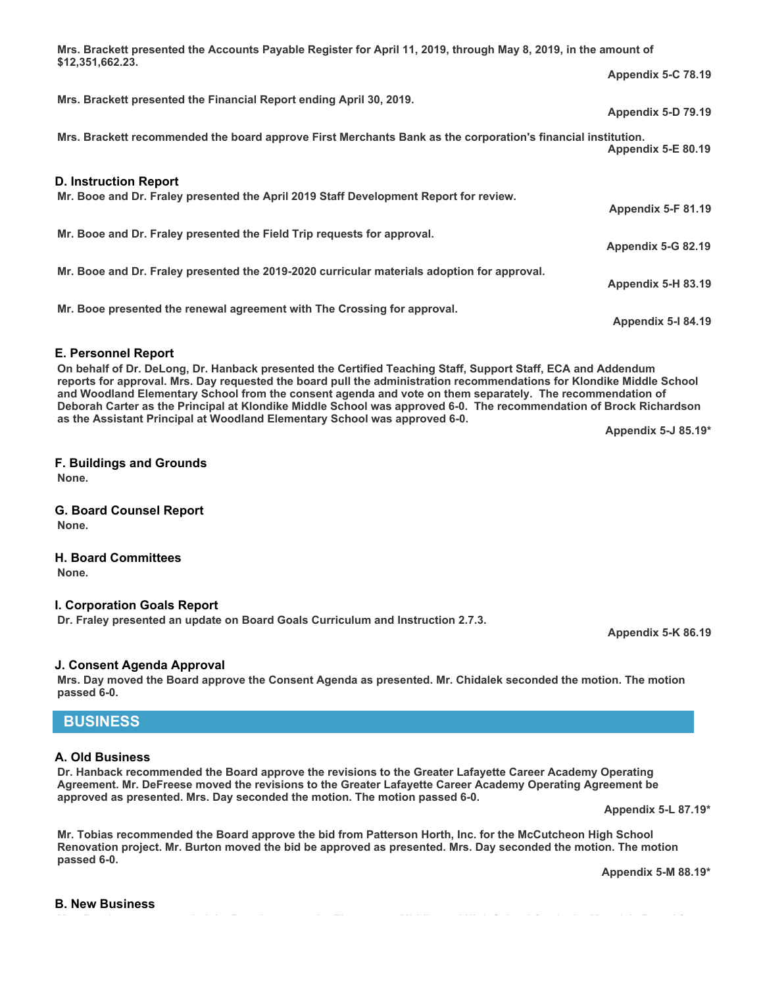**Mrs. Brackett presented the Accounts Payable Register for April 11, 2019, through May 8, 2019, in the amount of \$12,351,662.23. Appendix 5-C 78.19 Mrs. Brackett presented the Financial Report ending April 30, 2019. Appendix 5-D 79.19 Mrs. Brackett recommended the board approve First Merchants Bank as the corporation's financial institution. Appendix 5-E 80.19 D. Instruction Report Mr. Booe and Dr. Fraley presented the April 2019 Staff Development Report for review. Appendix 5-F 81.19 Mr. Booe and Dr. Fraley presented the Field Trip requests for approval. Appendix 5-G 82.19 Mr. Booe and Dr. Fraley presented the 2019-2020 curricular materials adoption for approval. Appendix 5-H 83.19 Mr. Booe presented the renewal agreement with The Crossing for approval. Appendix 5-I 84.19**

### **E. Personnel Report**

**On behalf of Dr. DeLong, Dr. Hanback presented the Certified Teaching Staff, Support Staff, ECA and Addendum reports for approval. Mrs. Day requested the board pull the administration recommendations for Klondike Middle School and Woodland Elementary School from the consent agenda and vote on them separately. The recommendation of Deborah Carter as the Principal at Klondike Middle School was approved 6-0. The recommendation of Brock Richardson as the Assistant Principal at Woodland Elementary School was approved 6-0.**

**Appendix 5-J 85.19\***

### **F. Buildings and Grounds**

**None.**

## **G. Board Counsel Report**

**None.**

# **H. Board Committees**

**None.**

### **I. Corporation Goals Report**

**Dr. Fraley presented an update on Board Goals Curriculum and Instruction 2.7.3.** 

### **J. Consent Agenda Approval**

**Mrs. Day moved the Board approve the Consent Agenda as presented. Mr. Chidalek seconded the motion. The motion passed 6-0.**

## **BUSINESS**

### **A. Old Business**

**Dr. Hanback recommended the Board approve the revisions to the Greater Lafayette Career Academy Operating Agreement. Mr. DeFreese moved the revisions to the Greater Lafayette Career Academy Operating Agreement be approved as presented. Mrs. Day seconded the motion. The motion passed 6-0.** 

**Appendix 5-L 87.19\***

**Appendix 5-K 86.19**

**Mr. Tobias recommended the Board approve the bid from Patterson Horth, Inc. for the McCutcheon High School Renovation project. Mr. Burton moved the bid be approved as presented. Mrs. Day seconded the motion. The motion**

**Appendix 5-M 88.19\***

## **B. New Business**

**passed 6-0.**